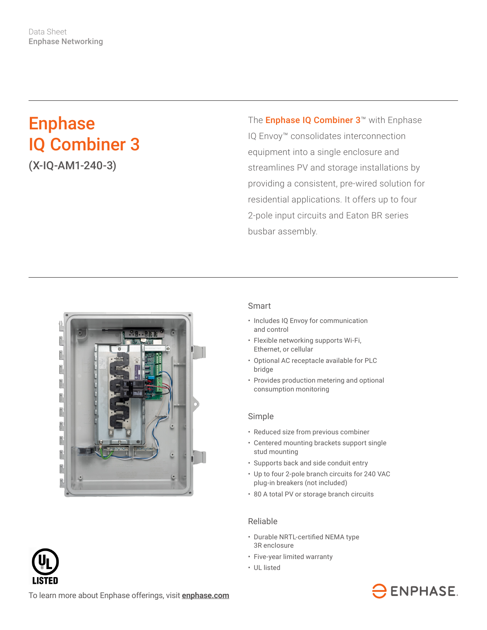# Enphase IQ Combiner 3

(X-IQ-AM1-240-3)

The **Enphase IQ Combiner 3™** with Enphase IQ Envoy™ consolidates interconnection equipment into a single enclosure and streamlines PV and storage installations by providing a consistent, pre-wired solution for residential applications. It offers up to four 2-pole input circuits and Eaton BR series busbar assembly.



#### Smart

- Includes IQ Envoy for communication and control
- Flexible networking supports Wi-Fi, Ethernet, or cellular
- Optional AC receptacle available for PLC bridge
- Provides production metering and optional consumption monitoring

#### Simple

- Reduced size from previous combiner
- Centered mounting brackets support single stud mounting
- Supports back and side conduit entry
- Up to four 2-pole branch circuits for 240 VAC plug-in breakers (not included)
- 80 A total PV or storage branch circuits

### Reliable

- • Durable NRTL-certified NEMA type 3R enclosure
- Five-year limited warranty
- UL listed